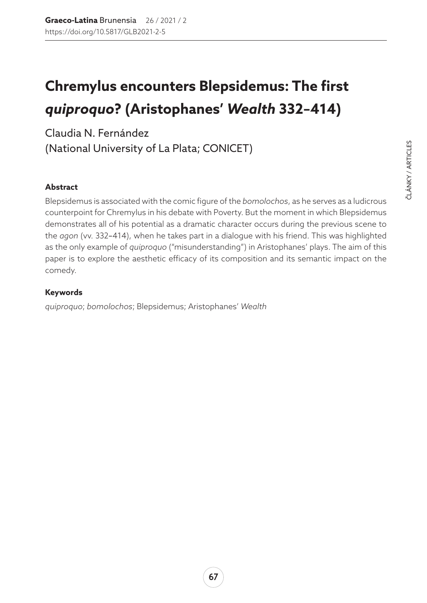# **Chremylus encounters Blepsidemus: The first**  *quiproquo***? (Aristophanes'** *Wealth* **332–414)**

Claudia N. Fernández (National University of La Plata; CONICET)

#### **Abstract**

Blepsidemus is associated with the comic figure of the *bomolochos*, as he serves as a ludicrous counterpoint for Chremylus in his debate with Poverty. But the moment in which Blepsidemus demonstrates all of his potential as a dramatic character occurs during the previous scene to the *agon* (vv. 332–414), when he takes part in a dialogue with his friend. This was highlighted as the only example of *quiproquo* ("misunderstanding") in Aristophanes' plays. The aim of this paper is to explore the aesthetic efficacy of its composition and its semantic impact on the comedy.

#### **Keywords**

*quiproquo*; *bomolochos*; Blepsidemus; Aristophanes' *Wealth*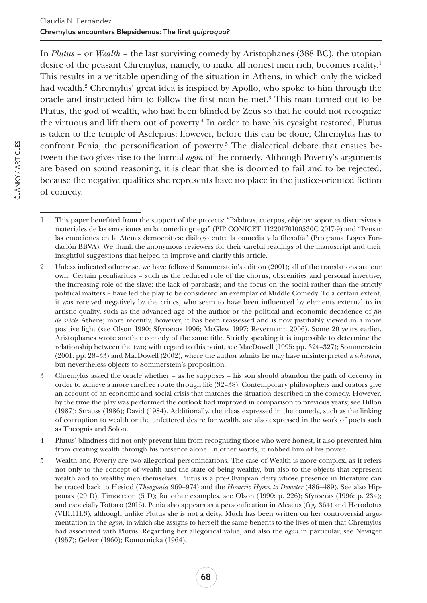In *Plutus* – or *Wealth* – the last surviving comedy by Aristophanes (388 BC), the utopian desire of the peasant Chremylus, namely, to make all honest men rich, becomes reality.1 This results in a veritable upending of the situation in Athens, in which only the wicked had wealth.2 Chremylus' great idea is inspired by Apollo, who spoke to him through the oracle and instructed him to follow the first man he met.3 This man turned out to be Plutus, the god of wealth, who had been blinded by Zeus so that he could not recognize the virtuous and lift them out of poverty.<sup>4</sup> In order to have his eyesight restored, Plutus is taken to the temple of Asclepius: however, before this can be done, Chremylus has to confront Penia, the personification of poverty.<sup>5</sup> The dialectical debate that ensues between the two gives rise to the formal *agon* of the comedy. Although Poverty's arguments are based on sound reasoning, it is clear that she is doomed to fail and to be rejected, because the negative qualities she represents have no place in the justice-oriented fiction of comedy.

<sup>1</sup> This paper benefited from the support of the projects: "Palabras, cuerpos, objetos: soportes discursivos y materiales de las emociones en la comedia griega" (PIP CONICET 11220170100530C 2017-9) and "Pensar las emociones en la Atenas democrática: diálogo entre la comedia y la filosofía" (Programa Logos Fundación BBVA). We thank the anonymous reviewers for their careful readings of the manuscript and their insightful suggestions that helped to improve and clarify this article.

<sup>2</sup> Unless indicated otherwise, we have followed Sommerstein's edition (2001); all of the translations are our own. Certain peculiarities – such as the reduced role of the chorus, obscenities and personal invective; the increasing role of the slave; the lack of parabasis; and the focus on the social rather than the strictly political matters – have led the play to be considered an exemplar of Middle Comedy. To a certain extent, it was received negatively by the critics, who seem to have been influenced by elements external to its artistic quality, such as the advanced age of the author or the political and economic decadence of *fin de siècle* Athens; more recently, however, it has been reassessed and is now justifiably viewed in a more positive light (see Olson 1990; Sfyroeras 1996; McGlew 1997; Revermann 2006). Some 20 years earlier, Aristophanes wrote another comedy of the same title. Strictly speaking it is impossible to determine the relationship between the two; with regard to this point, see MacDowell (1995: pp. 324–327); Sommerstein (2001: pp. 28–33) and MacDowell (2002), where the author admits he may have misinterpreted a *scholium*, but nevertheless objects to Sommerstein's proposition.

<sup>3</sup> Chremylus asked the oracle whether – as he supposes – his son should abandon the path of decency in order to achieve a more carefree route through life (32–38). Contemporary philosophers and orators give an account of an economic and social crisis that matches the situation described in the comedy. However, by the time the play was performed the outlook had improved in comparison to previous years; see Dillon (1987); Strauss (1986); David (1984). Additionally, the ideas expressed in the comedy, such as the linking of corruption to wealth or the unfettered desire for wealth, are also expressed in the work of poets such as Theognis and Solon.

<sup>4</sup> Plutus' blindness did not only prevent him from recognizing those who were honest, it also prevented him from creating wealth through his presence alone. In other words, it robbed him of his power.

<sup>5</sup> Wealth and Poverty are two allegorical personifications. The case of Wealth is more complex, as it refers not only to the concept of wealth and the state of being wealthy, but also to the objects that represent wealth and to wealthy men themselves. Plutus is a pre-Olympian deity whose presence in literature can be traced back to Hesiod (*Theogonia* 969–974) and the *Homeric Hymn to Demeter* (486–489). See also Hipponax (29 D); Timocreon (5 D); for other examples, see Olson (1990: p. 226); Sfyroeras (1996: p. 234); and especially Tottaro (2016). Penia also appears as a personification in Alcaeus (frg. 364) and Herodotus (VIII.111.3), although unlike Plutus she is not a deity. Much has been written on her controversial argumentation in the *agon*, in which she assigns to herself the same benefits to the lives of men that Chremylus had associated with Plutus. Regarding her allegorical value, and also the *agon* in particular, see Newiger (1957); Gelzer (1960); Komornicka (1964).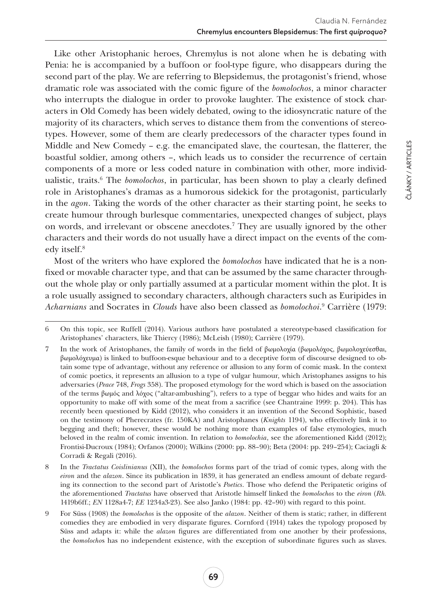Like other Aristophanic heroes, Chremylus is not alone when he is debating with Penia: he is accompanied by a buffoon or fool-type figure, who disappears during the second part of the play. We are referring to Blepsidemus, the protagonist's friend, whose dramatic role was associated with the comic figure of the *bomolochos*, a minor character who interrupts the dialogue in order to provoke laughter. The existence of stock characters in Old Comedy has been widely debated, owing to the idiosyncratic nature of the majority of its characters, which serves to distance them from the conventions of stereotypes. However, some of them are clearly predecessors of the character types found in Middle and New Comedy – e.g. the emancipated slave, the courtesan, the flatterer, the boastful soldier, among others –, which leads us to consider the recurrence of certain components of a more or less coded nature in combination with other, more individualistic, traits.6 The *bomolochos*, in particular, has been shown to play a clearly defined role in Aristophanes's dramas as a humorous sidekick for the protagonist, particularly in the *agon*. Taking the words of the other character as their starting point, he seeks to create humour through burlesque commentaries, unexpected changes of subject, plays on words, and irrelevant or obscene anecdotes.7 They are usually ignored by the other characters and their words do not usually have a direct impact on the events of the comedy itself.<sup>8</sup>

Most of the writers who have explored the *bomolochos* have indicated that he is a nonfixed or movable character type, and that can be assumed by the same character throughout the whole play or only partially assumed at a particular moment within the plot. It is a role usually assigned to secondary characters, although characters such as Euripides in *Acharnians* and Socrates in *Clouds* have also been classed as *bomolochoi*. 9 Carrière (1979:

<sup>6</sup> On this topic, see Ruffell (2014). Various authors have postulated a stereotype-based classification for Aristophanes' characters, like Thiercy (1986); McLeish (1980); Carrière (1979).

<sup>7</sup> In the work of Aristophanes, the family of words in the field of βωμολοχία (βωμολόχος, βωμολοχεύεσθαι, βωμολόχευμα) is linked to buffoon-esque behaviour and to a deceptive form of discourse designed to obtain some type of advantage, without any reference or allusion to any form of comic mask. In the context of comic poetics, it represents an allusion to a type of vulgar humour, which Aristophanes assigns to his adversaries (*Peace* 748, *Frogs* 358). The proposed etymology for the word which is based on the association of the terms βωμός and λόχος ("altar-ambushing"), refers to a type of beggar who hides and waits for an opportunity to make off with some of the meat from a sacrifice (see Chantraine 1999: p. 204). This has recently been questioned by Kidd (2012), who considers it an invention of the Second Sophistic, based on the testimony of Pherecrates (fr. 150KA) and Aristophanes (*Knights* 1194), who effectively link it to begging and theft; however, these would be nothing more than examples of false etymologies, much beloved in the realm of comic invention. In relation to *bomolochia*, see the aforementioned Kidd (2012); Frontisi-Ducroux (1984); Orfanos (2000); Wilkins (2000: pp. 88–90); Beta (2004: pp. 249–254); Caciagli & Corradi & Regali (2016).

<sup>8</sup> In the *Tractatus Coislinianus* (XII), the *bomolochos* forms part of the triad of comic types, along with the *eiron* and the *alazon*. Since its publication in 1839, it has generated an endless amount of debate regarding its connection to the second part of Aristotle's *Poetics*. Those who defend the Peripatetic origins of the aforementioned *Tractatus* have observed that Aristotle himself linked the *bomolochos* to the *eiron* (*Rh.* 1419b6ff.; *EN* 1128a4-7; *EE* 1234a3-23). See also Janko (1984: pp. 42–90) with regard to this point.

<sup>9</sup> For Süss (1908) the *bomolochos* is the opposite of the *alazon*. Neither of them is static; rather, in different comedies they are embodied in very disparate figures. Cornford (1914) takes the typology proposed by Süss and adapts it: while the *alazon* figures are differentiated from one another by their professions, the *bomolocho*s has no independent existence, with the exception of subordinate figures such as slaves.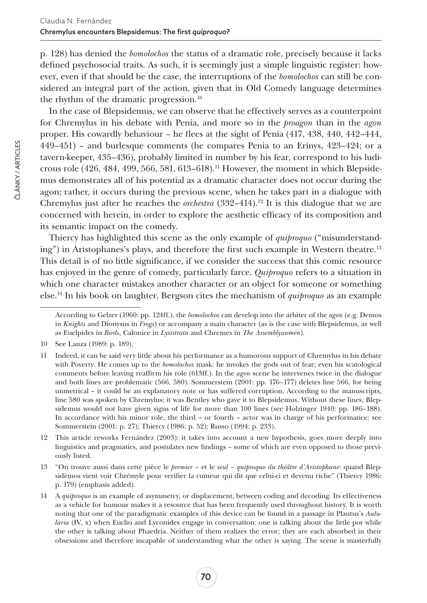p. 128) has denied the *bomolochos* the status of a dramatic role, precisely because it lacks defined psychosocial traits. As such, it is seemingly just a simple linguistic register: however, even if that should be the case, the interruptions of the *bomolochos* can still be considered an integral part of the action, given that in Old Comedy language determines the rhythm of the dramatic progression.10

In the case of Blepsidemus, we can observe that he effectively serves as a counterpoint for Chremylus in his debate with Penia, and more so in the *proagon* than in the *agon* proper. His cowardly behaviour – he flees at the sight of Penia (417, 438, 440, 442–444, 449–451) – and burlesque comments (he compares Penia to an Erinys, 423–424; or a tavern-keeper, 435–436), probably limited in number by his fear, correspond to his ludicrous role (426, 484, 499, 566, 581, 613–618).<sup>11</sup> However, the moment in which Blepsidemus demonstrates all of his potential as a dramatic character does not occur during the agon; rather, it occurs during the previous scene, when he takes part in a dialogue with Chremylus just after he reaches the *orchestra*  $(332-414).<sup>12</sup>$  It is this dialogue that we are concerned with herein, in order to explore the aesthetic efficacy of its composition and its semantic impact on the comedy.

Thiercy has highlighted this scene as the only example of *quiproquo* ("misunderstanding") in Aristophanes's plays, and therefore the first such example in Western theatre.<sup>13</sup> This detail is of no little significance, if we consider the success that this comic resource has enjoyed in the genre of comedy, particularly farce. *Quiproquo* refers to a situation in which one character mistakes another character or an object for someone or something else.14 In his book on laughter, Bergson cites the mechanism of *quiproquo* as an example

13 "On trouve aussi dans cette pièce le *premier* – et le *seul* – *quiproquo du théâtre d'Aristophane*: quand Blepsidèmos vient voir Chrémyle pour verifier la rumeur qui dit que celui-ci et devenu riche" (Thiercy 1986: p. 179) (emphasis added).

According to Gelzer (1960: pp. 124ff.), the *bomolochos* can develop into the arbiter of the *agon* (e.g. Demos in *Knights* and Dionysus in *Frogs*) or accompany a main character (as is the case with Blepsidemus, as well as Euelpides in *Birds*, Calonice in *Lysistrata* and Chremes in *The Assemblywomen*).

<sup>10</sup> See Lanza (1989: p. 189).

<sup>11</sup> Indeed, it can be said very little about his performance as a humorous support of Chremylus in his debate with Poverty. He comes up to the *bomolochos* mask: he invokes the gods out of fear; even his scatological comments before leaving reaffirm his role (613ff.). In the *agon* scene he intervenes twice in the dialogue and both lines are problematic (566, 580). Sommerstein (2001: pp. 176–177) deletes line 566, for being unmetrical – it could be an explanatory note or has suffered corruption. According to the manuscripts, line 580 was spoken by Chremylus; it was Bentley who gave it to Blepsidemus. Without these lines, Blepsidemus would not have given signs of life for more than 100 lines (see Holzinger 1940: pp. 186–188). In accordance with his minor role, the third – or fourth – actor was in charge of his performance; see Sommerstein (2001: p. 27); Thiercy (1986: p. 52); Russo (1994: p. 233).

<sup>12</sup> This article reworks Fernández (2003): it takes into account a new hypothesis, goes more deeply into linguistics and pragmatics, and postulates new findings – some of which are even opposed to those previously listed.

<sup>14</sup> A *quiproquo* is an example of asymmetry, or displacement, between coding and decoding. Its effectiveness as a vehicle for humour makes it a resource that has been frequently used throughout history. It is worth noting that one of the paradigmatic examples of this device can be found in a passage in Plautus's *Aulularia* (IV, x) when Euclio and Lyconides engage in conversation: one is talking about the little pot while the other is talking about Phaedria. Neither of them realizes the error; they are each absorbed in their obsessions and therefore incapable of understanding what the other is saying. The scene is masterfully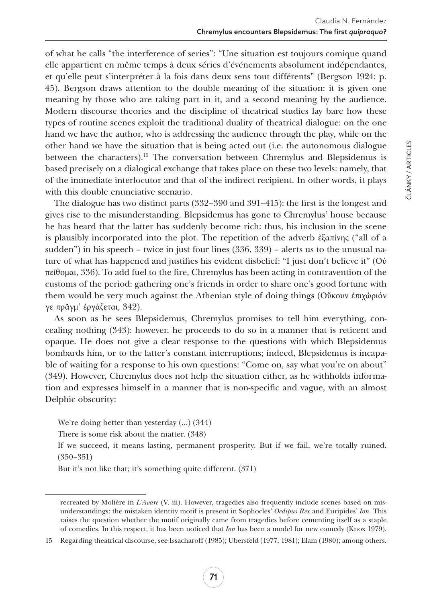of what he calls "the interference of series": "Une situation est toujours comique quand elle appartient en même temps à deux séries d'événements absolument indépendantes, et qu'elle peut s'interpréter à la fois dans deux sens tout différents" (Bergson 1924: p. 45). Bergson draws attention to the double meaning of the situation: it is given one meaning by those who are taking part in it, and a second meaning by the audience. Modern discourse theories and the discipline of theatrical studies lay bare how these types of routine scenes exploit the traditional duality of theatrical dialogue: on the one hand we have the author, who is addressing the audience through the play, while on the other hand we have the situation that is being acted out (i.e. the autonomous dialogue between the characters).15 The conversation between Chremylus and Blepsidemus is based precisely on a dialogical exchange that takes place on these two levels: namely, that of the immediate interlocutor and that of the indirect recipient. In other words, it plays with this double enunciative scenario.

The dialogue has two distinct parts (332–390 and 391–415): the first is the longest and gives rise to the misunderstanding. Blepsidemus has gone to Chremylus' house because he has heard that the latter has suddenly become rich: thus, his inclusion in the scene is plausibly incorporated into the plot. The repetition of the adverb ἐξαπίνης ("all of a sudden") in his speech – twice in just four lines (336, 339) – alerts us to the unusual nature of what has happened and justifies his evident disbelief: "I just don't believe it" (Οὐ πείθομαι, 336). To add fuel to the fire, Chremylus has been acting in contravention of the customs of the period: gathering one's friends in order to share one's good fortune with them would be very much against the Athenian style of doing things (Οὔκουν ἐπιχώριόν γε πρᾶγμ' ἐργάζεται, 342).

As soon as he sees Blepsidemus, Chremylus promises to tell him everything, concealing nothing (343): however, he proceeds to do so in a manner that is reticent and opaque. He does not give a clear response to the questions with which Blepsidemus bombards him, or to the latter's constant interruptions; indeed, Blepsidemus is incapable of waiting for a response to his own questions: "Come on, say what you're on about" (349). However, Chremylus does not help the situation either, as he withholds information and expresses himself in a manner that is non-specific and vague, with an almost Delphic obscurity:

We're doing better than yesterday (…) (344)

There is some risk about the matter. (348)

If we succeed, it means lasting, permanent prosperity. But if we fail, we're totally ruined. (350–351)

But it's not like that; it's something quite different. (371)

ČLÁNKY / ARTICLES

ČLÁNKY / ARTICLES

recreated by Molière in *L'Avare* (V. iii). However, tragedies also frequently include scenes based on misunderstandings: the mistaken identity motif is present in Sophocles' *Oedipus Rex* and Euripides' *Ion*. This raises the question whether the motif originally came from tragedies before cementing itself as a staple of comedies. In this respect, it has been noticed that *Ion* has been a model for new comedy (Knox 1979).

<sup>15</sup> Regarding theatrical discourse, see Issacharoff (1985); Ubersfeld (1977, 1981); Elam (1980); among others.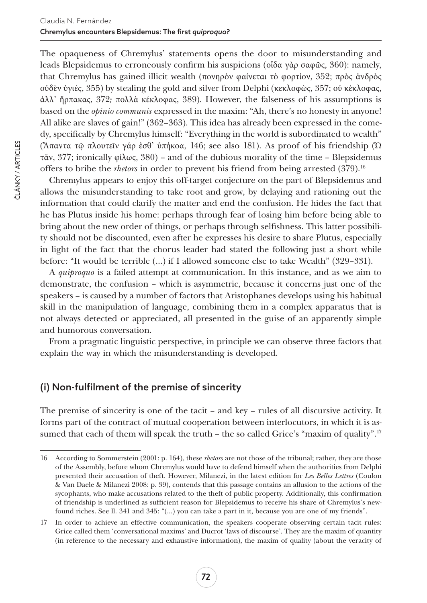The opaqueness of Chremylus' statements opens the door to misunderstanding and leads Blepsidemus to erroneously confirm his suspicions (οἶδα γὰρ σαφῶς, 360): namely, that Chremylus has gained illicit wealth (πονηρὸν φαίνεται τὸ φορτίον, 352; πρὸς ἀνδρὸς οὐδὲν ὑγιές, 355) by stealing the gold and silver from Delphi (κεκλοφὼς, 357; οὐ κέκλοφας, ἀλλ' ἥρπακας, 372; πολλὰ κέκλοφας, 389). However, the falseness of his assumptions is based on the *opinio communis* expressed in the maxim: "Ah, there's no honesty in anyone! All alike are slaves of gain!" (362–363). This idea has already been expressed in the comedy, specifically by Chremylus himself: "Everything in the world is subordinated to wealth" ("Άπαντα τῷ πλουτεῖν γάρ ἐσθ' ὑπήκοα, 146; see also 181). As proof of his friendship ( $Ω$ τᾶν, 377; ironically φίλως, 380) – and of the dubious morality of the time – Blepsidemus offers to bribe the *rhetors* in order to prevent his friend from being arrested (379).<sup>16</sup>

Chremylus appears to enjoy this off-target conjecture on the part of Blepsidemus and allows the misunderstanding to take root and grow, by delaying and rationing out the information that could clarify the matter and end the confusion. He hides the fact that he has Plutus inside his home: perhaps through fear of losing him before being able to bring about the new order of things, or perhaps through selfishness. This latter possibility should not be discounted, even after he expresses his desire to share Plutus, especially in light of the fact that the chorus leader had stated the following just a short while before: "It would be terrible (…) if I allowed someone else to take Wealth" (329–331).

A *quiproquo* is a failed attempt at communication. In this instance, and as we aim to demonstrate, the confusion – which is asymmetric, because it concerns just one of the speakers – is caused by a number of factors that Aristophanes develops using his habitual skill in the manipulation of language, combining them in a complex apparatus that is not always detected or appreciated, all presented in the guise of an apparently simple and humorous conversation.

From a pragmatic linguistic perspective, in principle we can observe three factors that explain the way in which the misunderstanding is developed.

## (i) Non-fulfilment of the premise of sincerity

The premise of sincerity is one of the tacit – and key – rules of all discursive activity. It forms part of the contract of mutual cooperation between interlocutors, in which it is assumed that each of them will speak the truth – the so called Grice's "maxim of quality".<sup>17</sup>

<sup>16</sup> According to Sommerstein (2001: p. 164), these *rhetors* are not those of the tribunal; rather, they are those of the Assembly, before whom Chremylus would have to defend himself when the authorities from Delphi presented their accusation of theft. However, Milanezi, in the latest edition for *Les Belles Lettres* (Coulon & Van Daele & Milanezi 2008: p. 39), contends that this passage contains an allusion to the actions of the sycophants, who make accusations related to the theft of public property. Additionally, this confirmation of friendship is underlined as sufficient reason for Blepsidemus to receive his share of Chremylus's newfound riches. See ll. 341 and 345: "(…) you can take a part in it, because you are one of my friends".

<sup>17</sup> In order to achieve an effective communication, the speakers cooperate observing certain tacit rules: Grice called them 'conversational maxims' and Ducrot 'laws of discourse'. They are the maxim of quantity (in reference to the necessary and exhaustive information), the maxim of quality (about the veracity of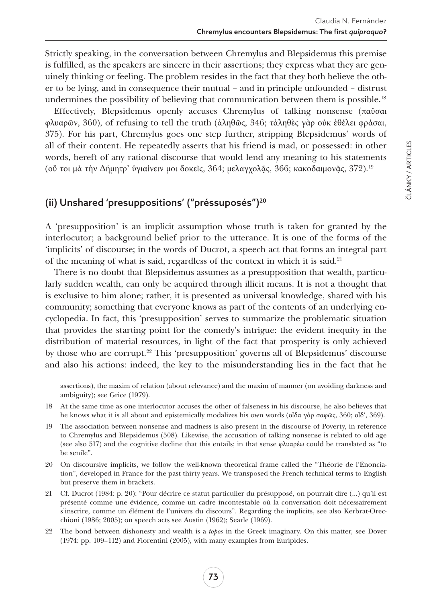Strictly speaking, in the conversation between Chremylus and Blepsidemus this premise is fulfilled, as the speakers are sincere in their assertions; they express what they are genuinely thinking or feeling. The problem resides in the fact that they both believe the other to be lying, and in consequence their mutual – and in principle unfounded – distrust undermines the possibility of believing that communication between them is possible.<sup>18</sup>

Effectively, Blepsidemus openly accuses Chremylus of talking nonsense (παῦσαι φλυαρῶν, 360), of refusing to tell the truth (ἀληθῶς, 346; τἀληθὲς γὰρ οὐκ ἐθέλει φράσαι, 375). For his part, Chremylus goes one step further, stripping Blepsidemus' words of all of their content. He repeatedly asserts that his friend is mad, or possessed: in other words, bereft of any rational discourse that would lend any meaning to his statements (ού τοι μα την Δήμητρ' ύγιαίνειν μοι δοκεΐς, 364; μελαγχολᾶς, 366; κακοδαιμονῷς, 372).<sup>19</sup>

# (ii) Unshared 'presuppositions' ("préssuposés")20

A 'presupposition' is an implicit assumption whose truth is taken for granted by the interlocutor; a background belief prior to the utterance. It is one of the forms of the 'implicits' of discourse; in the words of Ducrot, a speech act that forms an integral part of the meaning of what is said, regardless of the context in which it is said.21

There is no doubt that Blepsidemus assumes as a presupposition that wealth, particularly sudden wealth, can only be acquired through illicit means. It is not a thought that is exclusive to him alone; rather, it is presented as universal knowledge, shared with his community; something that everyone knows as part of the contents of an underlying encyclopedia. In fact, this 'presupposition' serves to summarize the problematic situation that provides the starting point for the comedy's intrigue: the evident inequity in the distribution of material resources, in light of the fact that prosperity is only achieved by those who are corrupt.22 This 'presupposition' governs all of Blepsidemus' discourse and also his actions: indeed, the key to the misunderstanding lies in the fact that he

assertions), the maxim of relation (about relevance) and the maxim of manner (on avoiding darkness and ambiguity); see Grice (1979).

<sup>18</sup> At the same time as one interlocutor accuses the other of falseness in his discourse, he also believes that he knows what it is all about and epistemically modalizes his own words (οἶδα γὰρ σαφῶς, 360; οἶδ', 369).

<sup>19</sup> The association between nonsense and madness is also present in the discourse of Poverty, in reference to Chremylus and Blepsidemus (508). Likewise, the accusation of talking nonsense is related to old age (see also 517) and the cognitive decline that this entails; in that sense φλυαρέω could be translated as "to be senile".

<sup>20</sup> On discoursive implicits, we follow the well-known theoretical frame called the "Théorie de l'Énonciation", developed in France for the past thirty years. We transposed the French technical terms to English but preserve them in brackets.

<sup>21</sup> Cf. Ducrot (1984: p. 20): "Pour décrire ce statut particulier du présupposé, on pourrait dire (…) qu'il est présenté comme une évidence, comme un cadre incontestable où la conversation doit nécessairement s'inscrire, comme un élément de l'univers du discours". Regarding the implicits, see also Kerbrat-Orecchioni (1986; 2005); on speech acts see Austin (1962); Searle (1969).

<sup>22</sup> The bond between dishonesty and wealth is a *topos* in the Greek imaginary. On this matter, see Dover (1974: pp. 109–112) and Fiorentini (2005), with many examples from Euripides.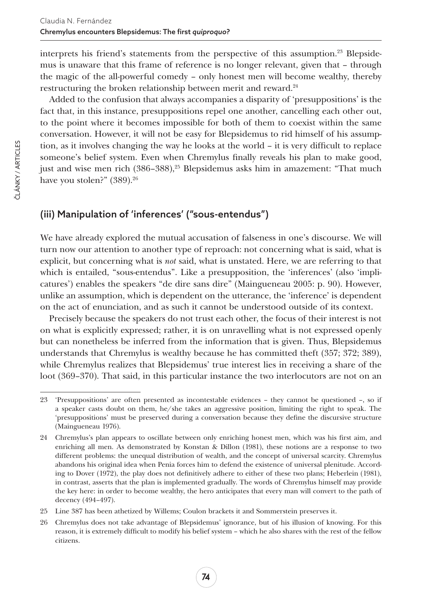interprets his friend's statements from the perspective of this assumption.<sup>23</sup> Blepsidemus is unaware that this frame of reference is no longer relevant, given that – through the magic of the all-powerful comedy – only honest men will become wealthy, thereby restructuring the broken relationship between merit and reward.<sup>24</sup>

Added to the confusion that always accompanies a disparity of 'presuppositions' is the fact that, in this instance, presuppositions repel one another, cancelling each other out, to the point where it becomes impossible for both of them to coexist within the same conversation. However, it will not be easy for Blepsidemus to rid himself of his assumption, as it involves changing the way he looks at the world – it is very difficult to replace someone's belief system. Even when Chremylus finally reveals his plan to make good, just and wise men rich  $(386-388)^{25}$  Blepsidemus asks him in amazement: "That much have you stolen?" (389).<sup>26</sup>

## (iii) Manipulation of 'inferences' ("sous-entendus")

We have already explored the mutual accusation of falseness in one's discourse. We will turn now our attention to another type of reproach: not concerning what is said, what is explicit, but concerning what is *not* said, what is unstated. Here, we are referring to that which is entailed, "sous-entendus". Like a presupposition, the 'inferences' (also 'implicatures') enables the speakers "de dire sans dire" (Maingueneau 2005: p. 90). However, unlike an assumption, which is dependent on the utterance, the 'inference' is dependent on the act of enunciation, and as such it cannot be understood outside of its context.

Precisely because the speakers do not trust each other, the focus of their interest is not on what is explicitly expressed; rather, it is on unravelling what is not expressed openly but can nonetheless be inferred from the information that is given. Thus, Blepsidemus understands that Chremylus is wealthy because he has committed theft (357; 372; 389), while Chremylus realizes that Blepsidemus' true interest lies in receiving a share of the loot (369–370). That said, in this particular instance the two interlocutors are not on an

<sup>23</sup> 'Presuppositions' are often presented as incontestable evidences – they cannot be questioned –, so if a speaker casts doubt on them, he/she takes an aggressive position, limiting the right to speak. The 'presuppositions' must be preserved during a conversation because they define the discursive structure (Maingueneau 1976).

<sup>24</sup> Chremylus's plan appears to oscillate between only enriching honest men, which was his first aim, and enriching all men. As demonstrated by Konstan & Dillon (1981), these notions are a response to two different problems: the unequal distribution of wealth, and the concept of universal scarcity. Chremylus abandons his original idea when Penia forces him to defend the existence of universal plenitude. According to Dover (1972), the play does not definitively adhere to either of these two plans; Heberlein (1981), in contrast, asserts that the plan is implemented gradually. The words of Chremylus himself may provide the key here: in order to become wealthy, the hero anticipates that every man will convert to the path of decency (494–497).

<sup>25</sup> Line 387 has been athetized by Willems; Coulon brackets it and Sommerstein preserves it.

<sup>26</sup> Chremylus does not take advantage of Blepsidemus' ignorance, but of his illusion of knowing. For this reason, it is extremely difficult to modify his belief system – which he also shares with the rest of the fellow citizens.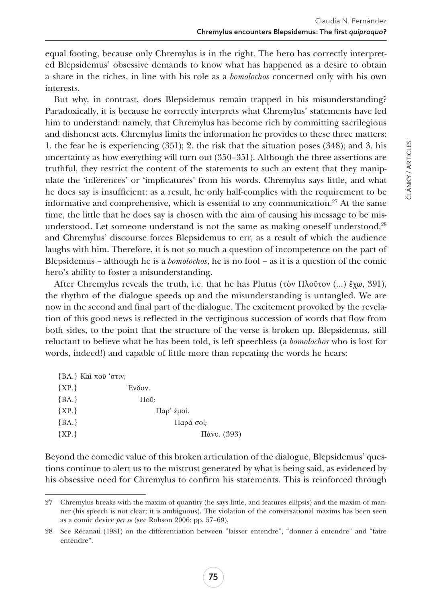equal footing, because only Chremylus is in the right. The hero has correctly interpreted Blepsidemus' obsessive demands to know what has happened as a desire to obtain a share in the riches, in line with his role as a *bomolochos* concerned only with his own interests.

But why, in contrast, does Blepsidemus remain trapped in his misunderstanding? Paradoxically, it is because he correctly interprets what Chremylus' statements have led him to understand: namely, that Chremylus has become rich by committing sacrilegious and dishonest acts. Chremylus limits the information he provides to these three matters: 1. the fear he is experiencing (351); 2. the risk that the situation poses (348); and 3. his uncertainty as how everything will turn out (350–351). Although the three assertions are truthful, they restrict the content of the statements to such an extent that they manipulate the 'inferences' or 'implicatures' from his words. Chremylus says little, and what he does say is insufficient: as a result, he only half-complies with the requirement to be informative and comprehensive, which is essential to any communication.<sup>27</sup> At the same time, the little that he does say is chosen with the aim of causing his message to be misunderstood. Let someone understand is not the same as making oneself understood,<sup>28</sup> and Chremylus' discourse forces Blepsidemus to err, as a result of which the audience laughs with him. Therefore, it is not so much a question of incompetence on the part of Blepsidemus – although he is a *bomolochos*, he is no fool – as it is a question of the comic hero's ability to foster a misunderstanding.

After Chremylus reveals the truth, i.e. that he has Plutus (τὸν Πλοῦτον (...) ἔχω, 391), the rhythm of the dialogue speeds up and the misunderstanding is untangled. We are now in the second and final part of the dialogue. The excitement provoked by the revelation of this good news is reflected in the vertiginous succession of words that flow from both sides, to the point that the structure of the verse is broken up. Blepsidemus, still reluctant to believe what he has been told, is left speechless (a *bomolochos* who is lost for words, indeed!) and capable of little more than repeating the words he hears:

|         | ${B\Lambda}$ . Kαί ποῦ 'στιν; |
|---------|-------------------------------|
| ${XP.}$ | Ένδον.                        |
| ${BA.}$ | $\Pi$ ov;                     |
| ${XP.}$ | $\Pi$ αρ' έμοί.               |
| ${BA.}$ | Παρὰ σοί;                     |
| ${XP.}$ | Πάνυ. (393)                   |

Beyond the comedic value of this broken articulation of the dialogue, Blepsidemus' questions continue to alert us to the mistrust generated by what is being said, as evidenced by his obsessive need for Chremylus to confirm his statements. This is reinforced through

<sup>27</sup> Chremylus breaks with the maxim of quantity (he says little, and features ellipsis) and the maxim of manner (his speech is not clear; it is ambiguous). The violation of the conversational maxims has been seen as a comic device *per se* (see Robson 2006: pp. 57–69).

<sup>28</sup> See Récanati (1981) on the differentiation between "laisser entendre", "donner á entendre" and "faire entendre".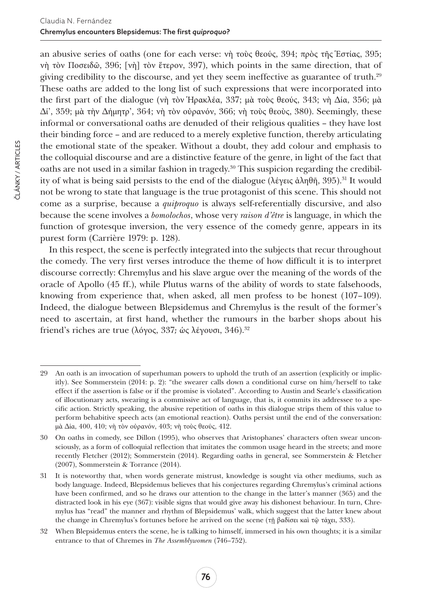an abusive series of oaths (one for each verse: νὴ τοὺς θεούς, 394; πρὸς τῆς Ἑστίας, 395; νὴ τὸν Ποσειδῶ, 396; [νὴ] τὸν ἕτερον, 397), which points in the same direction, that of giving credibility to the discourse, and yet they seem ineffective as guarantee of truth.29 These oaths are added to the long list of such expressions that were incorporated into the first part of the dialogue (νὴ τὸν Ἡρακλέα, 337; μὰ τοὺς θεούς, 343; νὴ Δία, 356; μὰ  $\Delta i'$ , 359; μὰ τὴν Δήμητρ', 364; νὴ τὸν οὐρανόν, 366; νὴ τοὺς θεοὺς, 380). Seemingly, these informal or conversational oaths are denuded of their religious qualities – they have lost their binding force – and are reduced to a merely expletive function, thereby articulating the emotional state of the speaker. Without a doubt, they add colour and emphasis to the colloquial discourse and are a distinctive feature of the genre, in light of the fact that oaths are not used in a similar fashion in tragedy.30 This suspicion regarding the credibility of what is being said persists to the end of the dialogue (λέγεις ἀληθῆ, 395).<sup>31</sup> It would not be wrong to state that language is the true protagonist of this scene. This should not come as a surprise, because a *quiproquo* is always self-referentially discursive, and also because the scene involves a *bomolochos*, whose very *raison d'être* is language, in which the function of grotesque inversion, the very essence of the comedy genre, appears in its purest form (Carrière 1979: p. 128).

In this respect, the scene is perfectly integrated into the subjects that recur throughout the comedy. The very first verses introduce the theme of how difficult it is to interpret discourse correctly: Chremylus and his slave argue over the meaning of the words of the oracle of Apollo (45 ff.), while Plutus warns of the ability of words to state falsehoods, knowing from experience that, when asked, all men profess to be honest (107–109). Indeed, the dialogue between Blepsidemus and Chremylus is the result of the former's need to ascertain, at first hand, whether the rumours in the barber shops about his friend's riches are true (λόγος, 337; ως λέγουσι, 346).<sup>32</sup>

<sup>29</sup> An oath is an invocation of superhuman powers to uphold the truth of an assertion (explicitly or implicitly). See Sommerstein (2014: p. 2): "the swearer calls down a conditional curse on him/herself to take effect if the assertion is false or if the promise is violated". According to Austin and Searle's classification of illocutionary acts, swearing is a commissive act of language, that is, it commits its addressee to a specific action. Strictly speaking, the abusive repetition of oaths in this dialogue strips them of this value to perform behabitive speech acts (an emotional reaction). Oaths persist until the end of the conversation: μὰ Δία, 400, 410; νὴ τὸν οὐρανόν, 403; νὴ τοὺς θεούς, 412.

<sup>30</sup> On oaths in comedy, see Dillon (1995), who observes that Aristophanes' characters often swear unconsciously, as a form of colloquial reflection that imitates the common usage heard in the streets; and more recently Fletcher (2012); Sommerstein (2014). Regarding oaths in general, see Sommerstein & Fletcher (2007), Sommerstein & Torrance (2014).

<sup>31</sup> It is noteworthy that, when words generate mistrust, knowledge is sought via other mediums, such as body language. Indeed, Blepsidemus believes that his conjectures regarding Chremylus's criminal actions have been confirmed, and so he draws our attention to the change in the latter's manner (365) and the distracted look in his eye (367): visible signs that would give away his dishonest behaviour. In turn, Chremylus has "read" the manner and rhythm of Blepsidemus' walk, which suggest that the latter knew about the change in Chremylus's fortunes before he arrived on the scene (τῇ βαδίσει καὶ τῷ τάχει, 333).

<sup>32</sup> When Blepsidemus enters the scene, he is talking to himself, immersed in his own thoughts; it is a similar entrance to that of Chremes in *The Assemblywomen* (746–752).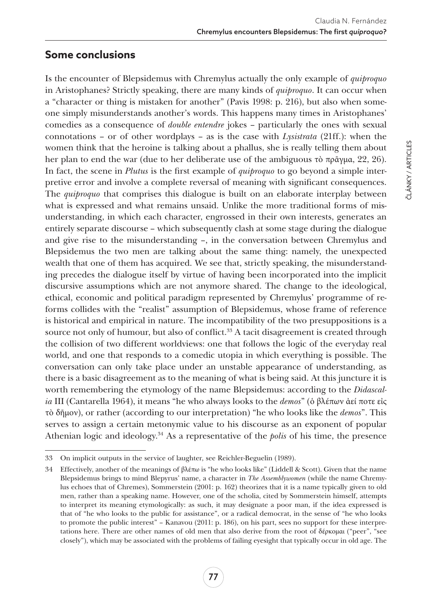## **Some conclusions**

Is the encounter of Blepsidemus with Chremylus actually the only example of *quiproquo* in Aristophanes? Strictly speaking, there are many kinds of *quiproquo*. It can occur when a "character or thing is mistaken for another" (Pavis 1998: p. 216), but also when someone simply misunderstands another's words. This happens many times in Aristophanes' comedies as a consequence of *double entendre* jokes – particularly the ones with sexual connotations – or of other wordplays – as is the case with *Lysistrata* (21ff.): when the women think that the heroine is talking about a phallus, she is really telling them about her plan to end the war (due to her deliberate use of the ambiguous τὸ πρᾶγμα, 22, 26). In fact, the scene in *Plutus* is the first example of *quiproquo* to go beyond a simple interpretive error and involve a complete reversal of meaning with significant consequences. The *quiproquo* that comprises this dialogue is built on an elaborate interplay between what is expressed and what remains unsaid. Unlike the more traditional forms of misunderstanding, in which each character, engrossed in their own interests, generates an entirely separate discourse – which subsequently clash at some stage during the dialogue and give rise to the misunderstanding –, in the conversation between Chremylus and Blepsidemus the two men are talking about the same thing: namely, the unexpected wealth that one of them has acquired. We see that, strictly speaking, the misunderstanding precedes the dialogue itself by virtue of having been incorporated into the implicit discursive assumptions which are not anymore shared. The change to the ideological, ethical, economic and political paradigm represented by Chremylus' programme of reforms collides with the "realist" assumption of Blepsidemus, whose frame of reference is historical and empirical in nature. The incompatibility of the two presuppositions is a source not only of humour, but also of conflict.<sup>33</sup> A tacit disagreement is created through the collision of two different worldviews: one that follows the logic of the everyday real world, and one that responds to a comedic utopia in which everything is possible. The conversation can only take place under an unstable appearance of understanding, as there is a basic disagreement as to the meaning of what is being said. At this juncture it is worth remembering the etymology of the name Blepsidemus: according to the *Didascalia* III (Cantarella 1964), it means "he who always looks to the *demos*" (ὁ βλέπων ἀεί ποτε εἰς τὸ δῆμον), or rather (according to our interpretation) "he who looks like the *demos*". This serves to assign a certain metonymic value to his discourse as an exponent of popular Athenian logic and ideology.34 As a representative of the *polis* of his time, the presence

<sup>33</sup> On implicit outputs in the service of laughter, see Reichler-Beguelin (1989).

<sup>34</sup> Effectively, another of the meanings of βλέπω is "he who looks like" (Liddell & Scott). Given that the name Blepsidemus brings to mind Blepyrus' name, a character in *The Assemblywomen* (while the name Chremylus echoes that of Chremes), Sommerstein (2001: p. 162) theorizes that it is a name typically given to old men, rather than a speaking name. However, one of the scholia, cited by Sommerstein himself, attempts to interpret its meaning etymologically: as such, it may designate a poor man, if the idea expressed is that of "he who looks to the public for assistance", or a radical democrat, in the sense of "he who looks to promote the public interest" – Kanavou (2011: p. 186), on his part, sees no support for these interpretations here. There are other names of old men that also derive from the root of δέρκομαι ("peer", "see closely"), which may be associated with the problems of failing eyesight that typically occur in old age. The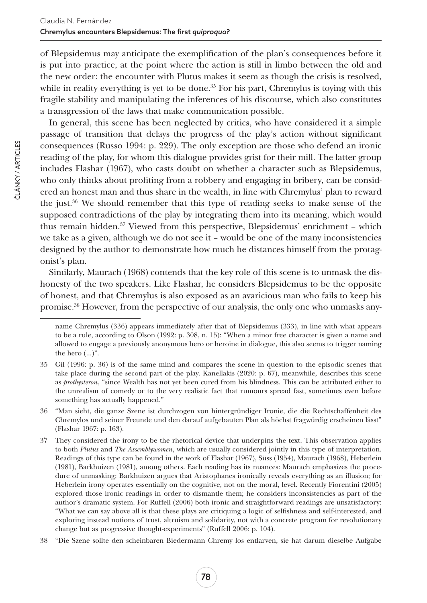of Blepsidemus may anticipate the exemplification of the plan's consequences before it is put into practice, at the point where the action is still in limbo between the old and the new order: the encounter with Plutus makes it seem as though the crisis is resolved, while in reality everything is yet to be done. $35$  For his part, Chremylus is toying with this fragile stability and manipulating the inferences of his discourse, which also constitutes a transgression of the laws that make communication possible.

In general, this scene has been neglected by critics, who have considered it a simple passage of transition that delays the progress of the play's action without significant consequences (Russo 1994: p. 229). The only exception are those who defend an ironic reading of the play, for whom this dialogue provides grist for their mill. The latter group includes Flashar (1967), who casts doubt on whether a character such as Blepsidemus, who only thinks about profiting from a robbery and engaging in bribery, can be considered an honest man and thus share in the wealth, in line with Chremylus' plan to reward the just.36 We should remember that this type of reading seeks to make sense of the supposed contradictions of the play by integrating them into its meaning, which would thus remain hidden.37 Viewed from this perspective, Blepsidemus' enrichment – which we take as a given, although we do not see it – would be one of the many inconsistencies designed by the author to demonstrate how much he distances himself from the protagonist's plan.

Similarly, Maurach (1968) contends that the key role of this scene is to unmask the dishonesty of the two speakers. Like Flashar, he considers Blepsidemus to be the opposite of honest, and that Chremylus is also exposed as an avaricious man who fails to keep his promise.38 However, from the perspective of our analysis, the only one who unmasks any-

name Chremylus (336) appears immediately after that of Blepsidemus (333), in line with what appears to be a rule, according to Olson (1992: p. 308, n. 15): "When a minor free character is given a name and allowed to engage a previously anonymous hero or heroine in dialogue, this also seems to trigger naming the hero  $(...)$ ".

<sup>35</sup> Gil (1996: p. 36) is of the same mind and compares the scene in question to the episodic scenes that take place during the second part of the play. Kanellakis (2020: p. 67), meanwhile, describes this scene as *prothysteron*, "since Wealth has not yet been cured from his blindness. This can be attributed either to the unrealism of comedy or to the very realistic fact that rumours spread fast, sometimes even before something has actually happened."

<sup>36</sup> "Man sieht, die ganze Szene ist durchzogen von hintergründiger Ironie, die die Rechtschaffenheit des Chremylos und seiner Freunde und den darauf aufgebauten Plan als höchst fragwürdig erscheinen lässt" (Flashar 1967: p. 163).

<sup>37</sup> They considered the irony to be the rhetorical device that underpins the text. This observation applies to both *Plutus* and *The Assemblywomen*, which are usually considered jointly in this type of interpretation. Readings of this type can be found in the work of Flashar (1967), Süss (1954), Maurach (1968), Heberlein (1981), Barkhuizen (1981), among others. Each reading has its nuances: Maurach emphasizes the procedure of unmasking; Barkhuizen argues that Aristophanes ironically reveals everything as an illusion; for Heberlein irony operates essentially on the cognitive, not on the moral, level. Recently Fiorentini (2005) explored those ironic readings in order to dismantle them; he considers inconsistencies as part of the author's dramatic system. For Ruffell (2006) both ironic and straightforward readings are unsatisfactory: "What we can say above all is that these plays are critiquing a logic of selfishness and self-interested, and exploring instead notions of trust, altruism and solidarity, not with a concrete program for revolutionary change but as progressive thought-experiments" (Ruffell 2006: p. 104).

<sup>38</sup> "Die Szene sollte den scheinbaren Biedermann Chremy los entlarven, sie hat darum dieselbe Aufgabe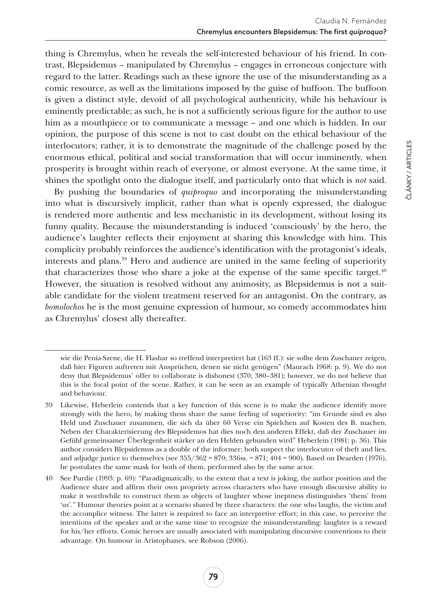thing is Chremylus, when he reveals the self-interested behaviour of his friend. In contrast, Blepsidemus – manipulated by Chremylus – engages in erroneous conjecture with regard to the latter. Readings such as these ignore the use of the misunderstanding as a comic resource, as well as the limitations imposed by the guise of buffoon. The buffoon is given a distinct style, devoid of all psychological authenticity, while his behaviour is eminently predictable; as such, he is not a sufficiently serious figure for the author to use him as a mouthpiece or to communicate a message – and one which is hidden. In our opinion, the purpose of this scene is not to cast doubt on the ethical behaviour of the interlocutors; rather, it is to demonstrate the magnitude of the challenge posed by the enormous ethical, political and social transformation that will occur imminently, when prosperity is brought within reach of everyone, or almost everyone. At the same time, it shines the spotlight onto the dialogue itself, and particularly onto that which is *not* said.

By pushing the boundaries of *quiproquo* and incorporating the misunderstanding into what is discursively implicit, rather than what is openly expressed, the dialogue is rendered more authentic and less mechanistic in its development, without losing its funny quality. Because the misunderstanding is induced 'consciously' by the hero, the audience's laughter reflects their enjoyment at sharing this knowledge with him. This complicity probably reinforces the audience's identification with the protagonist's ideals, interests and plans.39 Hero and audience are united in the same feeling of superiority that characterizes those who share a joke at the expense of the same specific target. $40$ However, the situation is resolved without any animosity, as Blepsidemus is not a suitable candidate for the violent treatment reserved for an antagonist. On the contrary, as *bomolochos* he is the most genuine expression of humour, so comedy accommodates him as Chremylus' closest ally thereafter.

wie die Penia-Szene, die H. Flashar so treffend interpretiert hat (163 ff.): sie sollte dem Zuschauer zeigen, daß hier Figuren auftreten mit Ansprüchen, denen sie nicht genügen" (Maurach 1968: p. 9). We do not deny that Blepsidemus' offer to collaborate is dishonest (370, 380–381); however, we do not believe that this is the focal point of the scene. Rather, it can be seen as an example of typically Athenian thought and behaviour.

<sup>39</sup> Likewise, Heberlein contends that a key function of this scene is to make the audience identify more strongly with the hero, by making them share the same feeling of superiority: "im Grunde sind es also Held und Zuschauer zusammen, die sich da über 60 Verse ein Spielchen auf Kosten des B. machen. Neben der Charakterisierung des Blepsidemos hat dies noch den anderen Effekt, daß der Zuschauer im Gefühl gemeinsamer Überlegenheit stärker an den Helden gebunden wird" Heberlein (1981: p. 36). This author considers Blepsidemus as a double of the informer; both suspect the interlocutor of theft and lies, and adjudge justice to themselves (see  $35/362 = 870$ ;  $336$ ss.  $= 871$ ;  $404 = 900$ ). Based on Dearden (1976), he postulates the same mask for both of them, performed also by the same actor.

<sup>40</sup> See Purdie (1993: p. 69): "Paradigmatically, to the extent that a text is joking, the author position and the Audience share and affirm their own propriety across characters who have enough discursive ability to make it worthwhile to construct them as objects of laughter whose ineptness distinguishes 'them' from 'us'." Humour theories point at a scenario shared by three characters: the one who laughs, the victim and the accomplice witness. The latter is required to face an interpretive effort; in this case, to perceive the intentions of the speaker and at the same time to recognize the misunderstanding: laughter is a reward for his/her efforts. Comic heroes are usually associated with manipulating discursive conventions to their advantage. On humour in Aristophanes, see Robson (2006).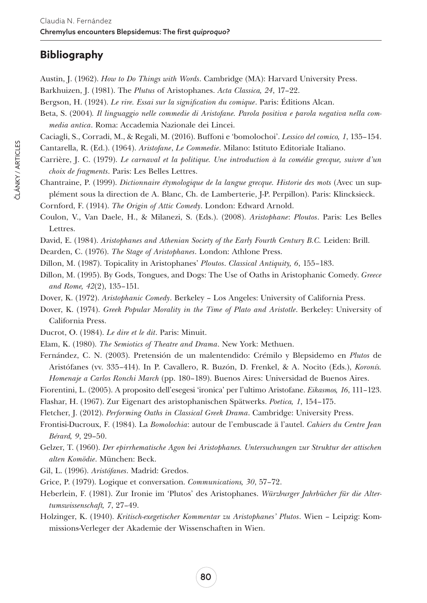# **Bibliography**

Austin, J. (1962). *How to Do Things with Words*. Cambridge (MA): Harvard University Press. Barkhuizen, J. (1981). The *Plutus* of Aristophanes. *Acta Classica, 24*, 17–22.

Bergson, H. (1924). *Le rire. Essai sur la signification du comique*. Paris: Éditions Alcan.

Beta, S. (2004)*. Il linguaggio nelle commedie di Aristofane. Parola positiva e parola negativa nella commedia antica*. Roma: Accademia Nazionale dei Lincei.

Caciagli, S., Corradi, M., & Regali, M. (2016). Buffoni e 'bomolochoi'. *Lessico del comico, 1*, 135–154.

Cantarella, R. (Ed.). (1964). *Aristofane*, *Le Commedie*. Milano: Istituto Editoriale Italiano.

Carrière, J. C. (1979). *Le carnaval et la politique. Une introduction à la comédie grecque, suivre d'un choix de fragments*. Paris: Les Belles Lettres.

Chantraine, P. (1999). *Dictionnaire étymologique de la langue grecque. Historie des mots* (Avec un supplément sous la direction de A. Blanc, Ch. de Lamberterie, J-P. Perpillon). Paris: Klincksieck.

Cornford, F. (1914). *The Origin of Attic Comedy*. London: Edward Arnold.

- Coulon, V., Van Daele, H., & Milanezi, S. (Eds.). (2008). *Aristophane*: *Ploutos*. Paris: Les Belles Lettres.
- David, E. (1984). *Aristophanes and Athenian Society of the Early Fourth Century B.C.* Leiden: Brill.

Dearden, C. (1976). *The Stage of Aristophanes*. London: Athlone Press.

Dillon, M. (1987). Topicality in Aristophanes' *Ploutos*. *Classical Antiquity, 6*, 155–183.

Dillon, M. (1995). By Gods, Tongues, and Dogs: The Use of Oaths in Aristophanic Comedy. *Greece and Rome, 42*(2), 135–151.

- Dover, K. (1972). *Aristophanic Comedy*. Berkeley Los Angeles: University of California Press.
- Dover, K. (1974). *Greek Popular Morality in the Time of Plato and Aristotle*. Berkeley: University of California Press.
- Ducrot, O. (1984). *Le dire et le dit*. Paris: Minuit.
- Elam, K. (1980). *The Semiotics of Theatre and Drama*. New York: Methuen.
- Fernández, C. N. (2003). Pretensión de un malentendido: Crémilo y Blepsidemo en *Plutos* de Aristófanes (vv. 335–414). In P. Cavallero, R. Buzón, D. Frenkel, & A. Nocito (Eds.), *Koronís. Homenaje a Carlos Ronchi March* (pp. 180–189). Buenos Aires: Universidad de Buenos Aires.
- Fiorentini, L. (2005). A proposito dell'esegesi 'ironica' per l'ultimo Aristofane. *Eikasmos, 16*, 111–123.
- Flashar, H. (1967). Zur Eigenart des aristophanischen Spätwerks. *Poetica, 1*, 154–175.
- Fletcher, J. (2012). *Performing Oaths in Classical Greek Drama*. Cambridge: University Press.
- Frontisi-Ducroux, F. (1984). La *Bomolochia*: autour de l'embuscade ä l'autel. *Cahiers du Centre Jean Bérard, 9*, 29–50.
- Gelzer, T. (1960). *Der epirrhematische Agon bei Aristophanes. Untersuchungen zur Struktur der attischen alten Komödie*. München: Beck.
- Gil, L. (1996). *Aristófanes*. Madrid: Gredos.
- Grice, P. (1979). Logique et conversation. *Communications, 30*, 57–72.
- Heberlein, F. (1981). Zur Ironie im 'Plutos' des Aristophanes. *Würzburger Jahrbücher für die Altertumswissenschaft, 7*, 27–49.
- Holzinger, K. (1940). *Kritisch-exegetischer Kommentar zu Aristophanes' Plutos*. Wien Leipzig: Kommissions-Verleger der Akademie der Wissenschaften in Wien.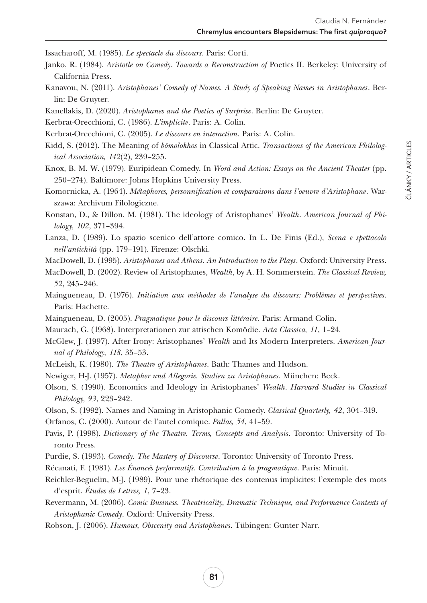Issacharoff, M. (1985). *Le spectacle du discours*. Paris: Corti.

- Janko, R. (1984). *Aristotle on Comedy*. *Towards a Reconstruction of* Poetics II. Berkeley: University of California Press.
- Kanavou, N. (2011). *Aristophanes' Comedy of Names. A Study of Speaking Names in Aristophanes*. Berlin: De Gruyter.
- Kanellakis, D. (2020). *Aristophanes and the Poetics of Surprise*. Berlin: De Gruyter.
- Kerbrat-Orecchioni, C. (1986). *L'implicite*. Paris: A. Colin.
- Kerbrat-Orecchioni, C. (2005). *Le discours en interaction*. Paris: A. Colin.
- Kidd, S. (2012). The Meaning of *bōmolokhos* in Classical Attic. *Transactions of the American Philological Association, 142*(2), 239–255.
- Knox, B. M. W. (1979). Euripidean Comedy. In *Word and Action: Essays on the Ancient Theater* (pp. 250–274). Baltimore: Johns Hopkins University Press.
- Komornicka, A. (1964). *Métaphores, personnification et comparaisons dans l'oeuvre d'Aristophane*. Warszawa: Archivum Filologiczne.
- Konstan, D., & Dillon, M. (1981). The ideology of Aristophanes' *Wealth*. *American Journal of Philology, 102*, 371–394.
- Lanza, D. (1989). Lo spazio scenico dell'attore comico. In L. De Finis (Ed.), *Scena e spettacolo nell'antichità* (pp. 179–191). Firenze: Olschki.
- MacDowell, D. (1995). *Aristophanes and Athens. An Introduction to the Plays*. Oxford: University Press.
- MacDowell, D. (2002). Review of Aristophanes, *Wealth*, by A. H. Sommerstein. *The Classical Review, 52*, 245–246.
- Maingueneau, D. (1976). *Initiation aux méthodes de l'analyse du discours: Problèmes et perspectives*. Paris: Hachette.
- Maingueneau, D. (2005). *Pragmatique pour le discours littéraire*. Paris: Armand Colin.
- Maurach, G. (1968). Interpretationen zur attischen Komödie. *Acta Classica, 11*, 1–24.
- McGlew, J. (1997). After Irony: Aristophanes' *Wealth* and Its Modern Interpreters. *American Journal of Philology, 118*, 35–53.
- McLeish, K. (1980). *The Theatre of Aristophanes*. Bath: Thames and Hudson.
- Newiger, H-J. (1957). *Metapher und Allegorie. Studien zu Aristophanes*. München: Beck.
- Olson, S. (1990). Economics and Ideology in Aristophanes' *Wealth*. *Harvard Studies in Classical Philology, 93*, 223–242.
- Olson, S. (1992). Names and Naming in Aristophanic Comedy. *Classical Quarterly, 42*, 304–319.
- Orfanos, C. (2000). Autour de l'autel comique. *Pallas, 54*, 41–59.
- Pavis, P. (1998). *Dictionary of the Theatre. Terms, Concepts and Analysis*. Toronto: University of Toronto Press.
- Purdie, S. (1993). *Comedy. The Mastery of Discourse*. Toronto: University of Toronto Press.
- Récanati, F. (1981). *Les Énoncés performatifs. Contribution à la pragmatique*. Paris: Minuit.
- Reichler-Beguelin, M-J. (1989). Pour une rhétorique des contenus implicites: l'exemple des mots d'esprit. *Études de Lettres, 1*, 7–23.
- Revermann, M. (2006). *Comic Business. Theatricality, Dramatic Technique, and Performance Contexts of Aristophanic Comedy*. Oxford: University Press.
- Robson, J. (2006). *Humour, Obscenity and Aristophanes*. Tübingen: Gunter Narr.